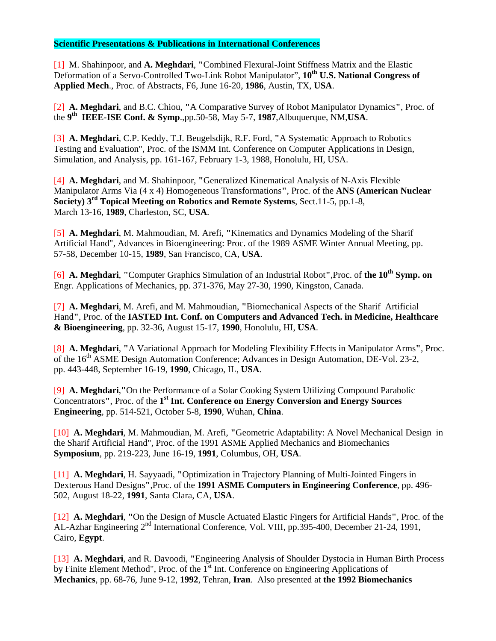## **Scientific Presentations & Publications in International Conferences**

[1] M. Shahinpoor, and **A. Meghdari**, **"**Combined Flexural-Joint Stiffness Matrix and the Elastic Deformation of a Servo-Controlled Two-Link Robot Manipulator", 10<sup>th</sup> U.S. National Congress of **Applied Mech**., Proc. of Abstracts, F6, June 16-20, **1986**, Austin, TX, **USA**.

[2] **A. Meghdari**, and B.C. Chiou, **"**A Comparative Survey of Robot Manipulator Dynamics**"**, Proc. of the **9th IEEE-ISE Conf. & Symp**.,pp.50-58, May 5-7, **1987**,Albuquerque, NM,**USA**.

[3] **A. Meghdari**, C.P. Keddy, T.J. Beugelsdijk, R.F. Ford, **"**A Systematic Approach to Robotics Testing and Evaluation", Proc. of the ISMM Int. Conference on Computer Applications in Design, Simulation, and Analysis, pp. 161-167, February 1-3, 1988, Honolulu, HI, USA.

[4] **A. Meghdari**, and M. Shahinpoor, **"**Generalized Kinematical Analysis of N-Axis Flexible Manipulator Arms Via (4 x 4) Homogeneous Transformations**"**, Proc. of the **ANS (American Nuclear Society) 3rd Topical Meeting on Robotics and Remote Systems**, Sect.11-5, pp.1-8, March 13-16, **1989**, Charleston, SC, **USA**.

[5] **A. Meghdari**, M. Mahmoudian, M. Arefi, **"**Kinematics and Dynamics Modeling of the Sharif Artificial Hand", Advances in Bioengineering: Proc. of the 1989 ASME Winter Annual Meeting, pp. 57-58, December 10-15, **1989**, San Francisco, CA, **USA**.

[6] **A. Meghdari**, **"**Computer Graphics Simulation of an Industrial Robot**"**,Proc. of **the 10th Symp. on**  Engr. Applications of Mechanics, pp. 371-376, May 27-30, 1990, Kingston, Canada.

[7] **A. Meghdari**, M. Arefi, and M. Mahmoudian, **"**Biomechanical Aspects of the Sharif Artificial Hand**"**, Proc. of the **IASTED Int. Conf. on Computers and Advanced Tech. in Medicine, Healthcare & Bioengineering**, pp. 32-36, August 15-17, **1990**, Honolulu, HI, **USA**.

[8] **A. Meghdari**, **"**A Variational Approach for Modeling Flexibility Effects in Manipulator Arms**"**, Proc. of the 16<sup>th</sup> ASME Design Automation Conference; Advances in Design Automation, DE-Vol. 23-2, pp. 443-448, September 16-19, **1990**, Chicago, IL, **USA**.

[9] **A. Meghdari**,**"**On the Performance of a Solar Cooking System Utilizing Compound Parabolic Concentrators**"**, Proc. of the **1st Int. Conference on Energy Conversion and Energy Sources Engineering**, pp. 514-521, October 5-8, **1990**, Wuhan, **China**.

[10] **A. Meghdari**, M. Mahmoudian, M. Arefi, **"**Geometric Adaptability: A Novel Mechanical Design in the Sharif Artificial Hand", Proc. of the 1991 ASME Applied Mechanics and Biomechanics **Symposium**, pp. 219-223, June 16-19, **1991**, Columbus, OH, **USA**.

[11] **A. Meghdari**, H. Sayyaadi, **"**Optimization in Trajectory Planning of Multi-Jointed Fingers in Dexterous Hand Designs**"**,Proc. of the **1991 ASME Computers in Engineering Conference**, pp. 496- 502, August 18-22, **1991**, Santa Clara, CA, **USA**.

[12] **A. Meghdari**, **"**On the Design of Muscle Actuated Elastic Fingers for Artificial Hands**"**, Proc. of the AL-Azhar Engineering 2<sup>nd</sup> International Conference, Vol. VIII, pp.395-400, December 21-24, 1991, Cairo, **Egypt**.

[13] **A. Meghdari**, and R. Davoodi, **"**Engineering Analysis of Shoulder Dystocia in Human Birth Process by Finite Element Method", Proc. of the 1<sup>st</sup> Int. Conference on Engineering Applications of **Mechanics**, pp. 68-76, June 9-12, **1992**, Tehran, **Iran**. Also presented at **the 1992 Biomechanics**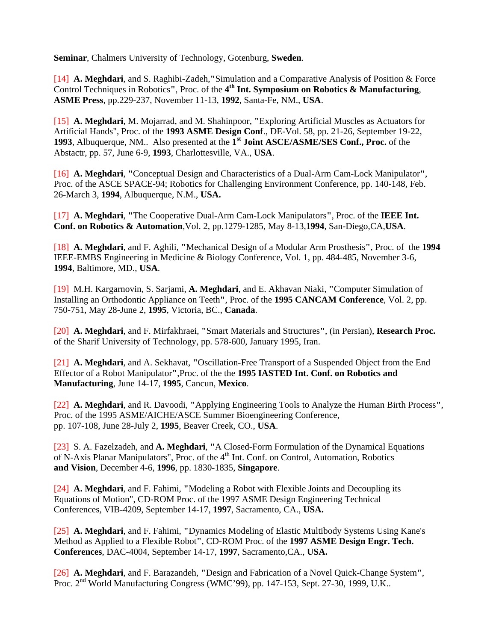**Seminar**, Chalmers University of Technology, Gotenburg, **Sweden**.

[14] **A. Meghdari**, and S. Raghibi-Zadeh,**"**Simulation and a Comparative Analysis of Position & Force Control Techniques in Robotics**"**, Proc. of the **4th Int. Symposium on Robotics & Manufacturing**, **ASME Press**, pp.229-237, November 11-13, **1992**, Santa-Fe, NM., **USA**.

[15] **A. Meghdari**, M. Mojarrad, and M. Shahinpoor, **"**Exploring Artificial Muscles as Actuators for Artificial Hands", Proc. of the **1993 ASME Design Conf**., DE-Vol. 58, pp. 21-26, September 19-22, **1993**, Albuquerque, NM.. Also presented at the **1st Joint ASCE/ASME/SES Conf., Proc.** of the Abstactr, pp. 57, June 6-9, **1993**, Charlottesville, VA., **USA**.

[16] **A. Meghdari**, **"**Conceptual Design and Characteristics of a Dual-Arm Cam-Lock Manipulator**"**, Proc. of the ASCE SPACE-94; Robotics for Challenging Environment Conference, pp. 140-148, Feb. 26-March 3, **1994**, Albuquerque, N.M., **USA.** 

[17] **A. Meghdari**, **"**The Cooperative Dual-Arm Cam-Lock Manipulators**"**, Proc. of the **IEEE Int. Conf. on Robotics & Automation**,Vol. 2, pp.1279-1285, May 8-13,**1994**, San-Diego,CA,**USA**.

[18] **A. Meghdari**, and F. Aghili, **"**Mechanical Design of a Modular Arm Prosthesis**"**, Proc. of the **1994** IEEE-EMBS Engineering in Medicine & Biology Conference, Vol. 1, pp. 484-485, November 3-6, **1994**, Baltimore, MD., **USA**.

[19] M.H. Kargarnovin, S. Sarjami, **A. Meghdari**, and E. Akhavan Niaki, **"**Computer Simulation of Installing an Orthodontic Appliance on Teeth**"**, Proc. of the **1995 CANCAM Conference**, Vol. 2, pp. 750-751, May 28-June 2, **1995**, Victoria, BC., **Canada**.

[20] **A. Meghdari**, and F. Mirfakhraei, **"**Smart Materials and Structures**"**, (in Persian), **Research Proc.**  of the Sharif University of Technology, pp. 578-600, January 1995, Iran.

[21] **A. Meghdari**, and A. Sekhavat, **"**Oscillation-Free Transport of a Suspended Object from the End Effector of a Robot Manipulator**"**,Proc. of the the **1995 IASTED Int. Conf. on Robotics and Manufacturing**, June 14-17, **1995**, Cancun, **Mexico**.

[22] **A. Meghdari**, and R. Davoodi, **"**Applying Engineering Tools to Analyze the Human Birth Process**"**, Proc. of the 1995 ASME/AICHE/ASCE Summer Bioengineering Conference, pp. 107-108, June 28-July 2, **1995**, Beaver Creek, CO., **USA**.

[23] S. A. Fazelzadeh, and **A. Meghdari**, **"**A Closed-Form Formulation of the Dynamical Equations of N-Axis Planar Manipulators", Proc. of the 4<sup>th</sup> Int. Conf. on Control, Automation, Robotics **and Vision**, December 4-6, **1996**, pp. 1830-1835, **Singapore**.

[24] **A. Meghdari**, and F. Fahimi, **"**Modeling a Robot with Flexible Joints and Decoupling its Equations of Motion", CD-ROM Proc. of the 1997 ASME Design Engineering Technical Conferences, VIB-4209, September 14-17, **1997**, Sacramento, CA., **USA.**

[25] **A. Meghdari**, and F. Fahimi, **"**Dynamics Modeling of Elastic Multibody Systems Using Kane's Method as Applied to a Flexible Robot**"**, CD-ROM Proc. of the **1997 ASME Design Engr. Tech. Conferences**, DAC-4004, September 14-17, **1997**, Sacramento,CA., **USA.** 

[26] **A. Meghdari**, and F. Barazandeh, **"**Design and Fabrication of a Novel Quick-Change System**"**, Proc. 2<sup>nd</sup> World Manufacturing Congress (WMC'99), pp. 147-153, Sept. 27-30, 1999, U.K..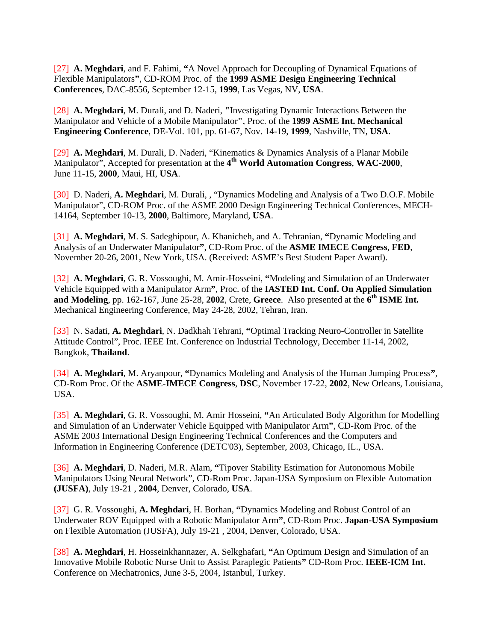[27] **A. Meghdari**, and F. Fahimi, **"**A Novel Approach for Decoupling of Dynamical Equations of Flexible Manipulators**"**, CD-ROM Proc. of the **1999 ASME Design Engineering Technical Conferences**, DAC-8556, September 12-15, **1999**, Las Vegas, NV, **USA**.

[28] **A. Meghdari**, M. Durali, and D. Naderi, **"**Investigating Dynamic Interactions Between the Manipulator and Vehicle of a Mobile Manipulator**"**, Proc. of the **1999 ASME Int. Mechanical Engineering Conference**, DE-Vol. 101, pp. 61-67, Nov. 14-19, **1999**, Nashville, TN, **USA**.

[29] **A. Meghdari**, M. Durali, D. Naderi, "Kinematics & Dynamics Analysis of a Planar Mobile Manipulator", Accepted for presentation at the **4th World Automation Congress**, **WAC-2000**, June 11-15, **2000**, Maui, HI, **USA**.

[30] D. Naderi, **A. Meghdari**, M. Durali, , "Dynamics Modeling and Analysis of a Two D.O.F. Mobile Manipulator", CD-ROM Proc. of the ASME 2000 Design Engineering Technical Conferences, MECH-14164, September 10-13, **2000**, Baltimore, Maryland, **USA**.

[31] **A. Meghdari**, M. S. Sadeghipour, A. Khanicheh, and A. Tehranian, **"**Dynamic Modeling and Analysis of an Underwater Manipulator**"**, CD-Rom Proc. of the **ASME IMECE Congress**, **FED**, November 20-26, 2001, New York, USA. (Received: ASME's Best Student Paper Award).

[32] **A. Meghdari**, G. R. Vossoughi, M. Amir-Hosseini, **"**Modeling and Simulation of an Underwater Vehicle Equipped with a Manipulator Arm**"**, Proc. of the **IASTED Int. Conf. On Applied Simulation and Modeling**, pp. 162-167, June 25-28, **2002**, Crete, **Greece**. Also presented at the **6th ISME Int.**  Mechanical Engineering Conference, May 24-28, 2002, Tehran, Iran.

[33] N. Sadati, **A. Meghdari**, N. Dadkhah Tehrani, **"**Optimal Tracking Neuro-Controller in Satellite Attitude Control", Proc. IEEE Int. Conference on Industrial Technology, December 11-14, 2002, Bangkok, **Thailand**.

[34] **A. Meghdari**, M. Aryanpour, **"**Dynamics Modeling and Analysis of the Human Jumping Process**"**, CD-Rom Proc. Of the **ASME-IMECE Congress**, **DSC**, November 17-22, **2002**, New Orleans, Louisiana, USA.

[35] **A. Meghdari**, G. R. Vossoughi, M. Amir Hosseini, **"**An Articulated Body Algorithm for Modelling and Simulation of an Underwater Vehicle Equipped with Manipulator Arm**"**, CD-Rom Proc. of the ASME 2003 International Design Engineering Technical Conferences and the Computers and Information in Engineering Conference (DETC'03), September, 2003, Chicago, IL., USA.

[36] **A. Meghdari**, D. Naderi, M.R. Alam, **"**Tipover Stability Estimation for Autonomous Mobile Manipulators Using Neural Network", CD-Rom Proc. Japan-USA Symposium on Flexible Automation **(JUSFA)**, July 19-21 , **2004**, Denver, Colorado, **USA**.

[37] G. R. Vossoughi, **A. Meghdari**, H. Borhan, **"**Dynamics Modeling and Robust Control of an Underwater ROV Equipped with a Robotic Manipulator Arm**"**, CD-Rom Proc. **Japan-USA Symposium**  on Flexible Automation (JUSFA), July 19-21 , 2004, Denver, Colorado, USA.

[38] **A. Meghdari**, H. Hosseinkhannazer, A. Selkghafari, **"**An Optimum Design and Simulation of an Innovative Mobile Robotic Nurse Unit to Assist Paraplegic Patients**"** CD-Rom Proc. **IEEE-ICM Int.**  Conference on Mechatronics, June 3-5, 2004, Istanbul, Turkey.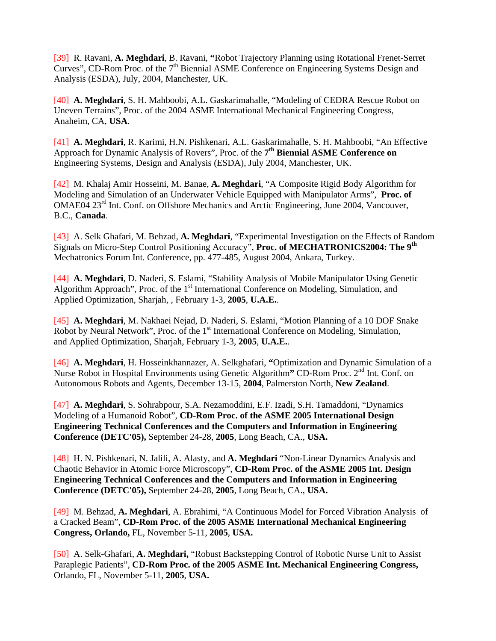[39] R. Ravani, **A. Meghdari**, B. Ravani, **"**Robot Trajectory Planning using Rotational Frenet-Serret Curves", CD-Rom Proc. of the 7<sup>th</sup> Biennial ASME Conference on Engineering Systems Design and Analysis (ESDA), July, 2004, Manchester, UK.

[40] **A. Meghdari**, S. H. Mahboobi, A.L. Gaskarimahalle, "Modeling of CEDRA Rescue Robot on Uneven Terrains", Proc. of the 2004 ASME International Mechanical Engineering Congress, Anaheim, CA, **USA**.

[41] **A. Meghdari**, R. Karimi, H.N. Pishkenari, A.L. Gaskarimahalle, S. H. Mahboobi, "An Effective Approach for Dynamic Analysis of Rovers", Proc. of the **7th Biennial ASME Conference on**  Engineering Systems, Design and Analysis (ESDA), July 2004, Manchester, UK.

[42] M. Khalaj Amir Hosseini, M. Banae, **A. Meghdari**, "A Composite Rigid Body Algorithm for Modeling and Simulation of an Underwater Vehicle Equipped with Manipulator Arms", **Proc. of**  OMAE04 23<sup>rd</sup> Int. Conf. on Offshore Mechanics and Arctic Engineering, June 2004, Vancouver, B.C., **Canada**.

[43] A. Selk Ghafari, M. Behzad, **A. Meghdari**, "Experimental Investigation on the Effects of Random Signals on Micro-Step Control Positioning Accuracy", **Proc. of MECHATRONICS2004: The 9th**  Mechatronics Forum Int. Conference, pp. 477-485, August 2004, Ankara, Turkey.

[44] **A. Meghdari**, D. Naderi, S. Eslami, "Stability Analysis of Mobile Manipulator Using Genetic Algorithm Approach", Proc. of the 1<sup>st</sup> International Conference on Modeling, Simulation, and Applied Optimization, Sharjah, , February 1-3, **2005**, **U.A.E.**.

[45] **A. Meghdari**, M. Nakhaei Nejad, D. Naderi, S. Eslami, "Motion Planning of a 10 DOF Snake Robot by Neural Network", Proc. of the 1<sup>st</sup> International Conference on Modeling, Simulation, and Applied Optimization, Sharjah, February 1-3, **2005**, **U.A.E.**.

[46] **A. Meghdari**, H. Hosseinkhannazer, A. Selkghafari, **"**Optimization and Dynamic Simulation of a Nurse Robot in Hospital Environments using Genetic Algorithm" CD-Rom Proc. 2<sup>nd</sup> Int. Conf. on Autonomous Robots and Agents, December 13-15, **2004**, Palmerston North, **New Zealand**.

[47] **A. Meghdari**, S. Sohrabpour, S.A. Nezamoddini, E.F. Izadi, S.H. Tamaddoni, "Dynamics Modeling of a Humanoid Robot", **CD-Rom Proc. of the ASME 2005 International Design Engineering Technical Conferences and the Computers and Information in Engineering Conference (DETC'05),** September 24-28, **2005**, Long Beach, CA., **USA.** 

[48]H. N. Pishkenari, N. Jalili, A. Alasty, and **A. Meghdari** "Non-Linear Dynamics Analysis and Chaotic Behavior in Atomic Force Microscopy", **CD-Rom Proc. of the ASME 2005 Int. Design Engineering Technical Conferences and the Computers and Information in Engineering Conference (DETC'05),** September 24-28, **2005**, Long Beach, CA., **USA.** 

[49]M. Behzad, **A. Meghdari**, A. Ebrahimi, "A Continuous Model for Forced Vibration Analysis of a Cracked Beam", **CD-Rom Proc. of the 2005 ASME International Mechanical Engineering Congress, Orlando,** FL, November 5-11, **2005**, **USA.** 

[50]A. Selk-Ghafari, **A. Meghdari,** "Robust Backstepping Control of Robotic Nurse Unit to Assist Paraplegic Patients", **CD-Rom Proc. of the 2005 ASME Int. Mechanical Engineering Congress,**  Orlando, FL, November 5-11, **2005**, **USA.**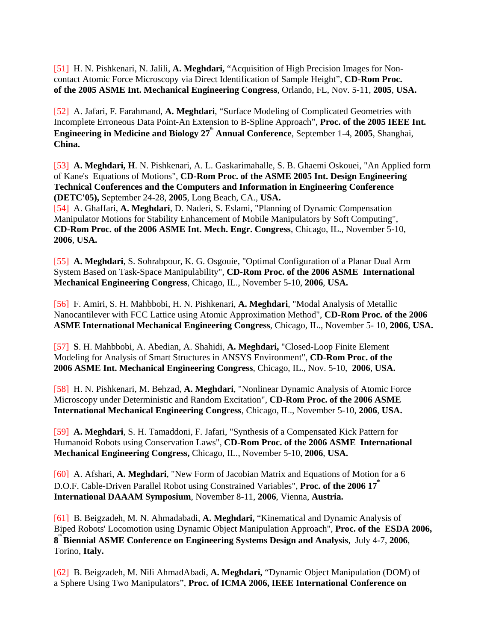[51] H. N. Pishkenari, N. Jalili, **A. Meghdari,** "Acquisition of High Precision Images for Noncontact Atomic Force Microscopy via Direct Identification of Sample Height", **CD-Rom Proc. of the 2005 ASME Int. Mechanical Engineering Congress**, Orlando, FL, Nov. 5-11, **2005**, **USA.** 

[52]A. Jafari, F. Farahmand, **A. Meghdari**, "Surface Modeling of Complicated Geometries with Incomplete Erroneous Data Point-An Extension to B-Spline Approach", **Proc. of the 2005 IEEE Int. Engineering in Medicine and Biology 27<sup>th</sup> Annual Conference**, September 1-4, 2005, Shanghai, **China.** 

[53] **A. Meghdari, H**. N. Pishkenari, A. L. Gaskarimahalle, S. B. Ghaemi Oskouei, "An Applied form of Kane's Equations of Motions", **CD-Rom Proc. of the ASME 2005 Int. Design Engineering Technical Conferences and the Computers and Information in Engineering Conference (DETC'05),** September 24-28, **2005**, Long Beach, CA., **USA.** 

[54]A. Ghaffari, **A. Meghdari**, D. Naderi, S. Eslami, "Planning of Dynamic Compensation Manipulator Motions for Stability Enhancement of Mobile Manipulators by Soft Computing", **CD-Rom Proc. of the 2006 ASME Int. Mech. Engr. Congress**, Chicago, IL., November 5-10, **2006**, **USA.** 

[55] **A. Meghdari**, S. Sohrabpour, K. G. Osgouie, "Optimal Configuration of a Planar Dual Arm System Based on Task-Space Manipulability", **CD-Rom Proc. of the 2006 ASME International Mechanical Engineering Congress**, Chicago, IL., November 5-10, **2006**, **USA.** 

[56]F. Amiri, S. H. Mahbbobi, H. N. Pishkenari, **A. Meghdari**, "Modal Analysis of Metallic Nanocantilever with FCC Lattice using Atomic Approximation Method", **CD-Rom Proc. of the 2006 ASME International Mechanical Engineering Congress**, Chicago, IL., November 5- 10, **2006**, **USA.** 

[57] **S**. H. Mahbbobi, A. Abedian, A. Shahidi, **A. Meghdari,** "Closed-Loop Finite Element Modeling for Analysis of Smart Structures in ANSYS Environment", **CD-Rom Proc. of the 2006 ASME Int. Mechanical Engineering Congress**, Chicago, IL., Nov. 5-10, **2006**, **USA.** 

[58]H. N. Pishkenari, M. Behzad, **A. Meghdari**, "Nonlinear Dynamic Analysis of Atomic Force Microscopy under Deterministic and Random Excitation", **CD-Rom Proc. of the 2006 ASME International Mechanical Engineering Congress**, Chicago, IL., November 5-10, **2006**, **USA.** 

[59] **A. Meghdari**, S. H. Tamaddoni, F. Jafari, "Synthesis of a Compensated Kick Pattern for Humanoid Robots using Conservation Laws", **CD-Rom Proc. of the 2006 ASME International Mechanical Engineering Congress,** Chicago, IL., November 5-10, **2006**, **USA.** 

[60] A. Afshari, **A. Meghdari**, "New Form of Jacobian Matrix and Equations of Motion for a 6 D.O.F. Cable-Driven Parallel Robot using Constrained Variables", Proc. of the 2006 17<sup>th</sup> **International DAAAM Symposium**, November 8-11, **2006**, Vienna, **Austria.** 

[61]B. Beigzadeh, M. N. Ahmadabadi, **A. Meghdari,** "Kinematical and Dynamic Analysis of Biped Robots' Locomotion using Dynamic Object Manipulation Approach", **Proc. of the ESDA 2006, 8 th Biennial ASME Conference on Engineering Systems Design and Analysis**, July 4-7, **2006**, Torino, **Italy.** 

[62]B. Beigzadeh, M. Nili AhmadAbadi, **A. Meghdari,** "Dynamic Object Manipulation (DOM) of a Sphere Using Two Manipulators", **Proc. of ICMA 2006, IEEE International Conference on**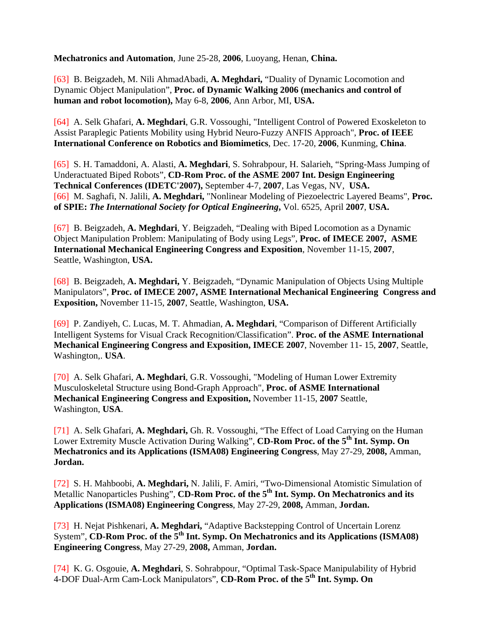**Mechatronics and Automation**, June 25-28, **2006**, Luoyang, Henan, **China.** 

[63]B. Beigzadeh, M. Nili AhmadAbadi, **A. Meghdari,** "Duality of Dynamic Locomotion and Dynamic Object Manipulation", **Proc. of Dynamic Walking 2006 (mechanics and control of human and robot locomotion),** May 6-8, **2006**, Ann Arbor, MI, **USA.** 

[64]A. Selk Ghafari, **A. Meghdari**, G.R. Vossoughi, "Intelligent Control of Powered Exoskeleton to Assist Paraplegic Patients Mobility using Hybrid Neuro-Fuzzy ANFIS Approach", **Proc. of IEEE International Conference on Robotics and Biomimetics**, Dec. 17-20, **2006**, Kunming, **China**.

[65] S. H. Tamaddoni, A. Alasti, **A. Meghdari**, S. Sohrabpour, H. Salarieh, "Spring-Mass Jumping of Underactuated Biped Robots", **CD-Rom Proc. of the ASME 2007 Int. Design Engineering Technical Conferences (IDETC'2007),** September 4-7, **2007**, Las Vegas, NV, **USA.**  [66] M. Saghafi, N. Jalili, **A. Meghdari,** "Nonlinear Modeling of Piezoelectric Layered Beams", **Proc. of SPIE:** *The International Society for Optical Engineering***,** Vol. 6525, April **2007**, **USA.** 

[67]B. Beigzadeh, **A. Meghdari**, Y. Beigzadeh, "Dealing with Biped Locomotion as a Dynamic Object Manipulation Problem: Manipulating of Body using Legs", **Proc. of IMECE 2007, ASME International Mechanical Engineering Congress and Exposition**, November 11-15, **2007**, Seattle, Washington, **USA.** 

[68]B. Beigzadeh, **A. Meghdari,** Y. Beigzadeh, "Dynamic Manipulation of Objects Using Multiple Manipulators", **Proc. of IMECE 2007, ASME International Mechanical Engineering Congress and Exposition,** November 11-15, **2007**, Seattle, Washington, **USA.** 

[69]P. Zandiyeh, C. Lucas, M. T. Ahmadian, **A. Meghdari**, "Comparison of Different Artificially Intelligent Systems for Visual Crack Recognition/Classification". **Proc. of the ASME International Mechanical Engineering Congress and Exposition, IMECE 2007**, November 11- 15, **2007**, Seattle, Washington,. **USA**.

[70] A. Selk Ghafari, **A. Meghdari**, G.R. Vossoughi, "Modeling of Human Lower Extremity Musculoskeletal Structure using Bond-Graph Approach", **Proc. of ASME International Mechanical Engineering Congress and Exposition,** November 11-15, **2007** Seattle, Washington, **USA**.

[71]A. Selk Ghafari, **A. Meghdari,** Gh. R. Vossoughi, "The Effect of Load Carrying on the Human Lower Extremity Muscle Activation During Walking", CD-Rom Proc. of the 5<sup>th</sup> Int. Symp. On **Mechatronics and its Applications (ISMA08) Engineering Congress**, May 27-29, **2008,** Amman, **Jordan.** 

[72] S. H. Mahboobi, **A. Meghdari,** N. Jalili, F. Amiri, "Two-Dimensional Atomistic Simulation of Metallic Nanoparticles Pushing", **CD-Rom Proc. of the 5<sup>th</sup> Int. Symp. On Mechatronics and its Applications (ISMA08) Engineering Congress**, May 27-29, **2008,** Amman, **Jordan.** 

[73]H. Nejat Pishkenari, **A. Meghdari,** "Adaptive Backstepping Control of Uncertain Lorenz System", CD-Rom Proc. of the 5<sup>th</sup> Int. Symp. On Mechatronics and its Applications (ISMA08) **Engineering Congress**, May 27-29, **2008,** Amman, **Jordan.** 

[74]K. G. Osgouie, **A. Meghdari**, S. Sohrabpour, "Optimal Task-Space Manipulability of Hybrid 4-DOF Dual-Arm Cam-Lock Manipulators", **CD-Rom Proc. of the 5th Int. Symp. On**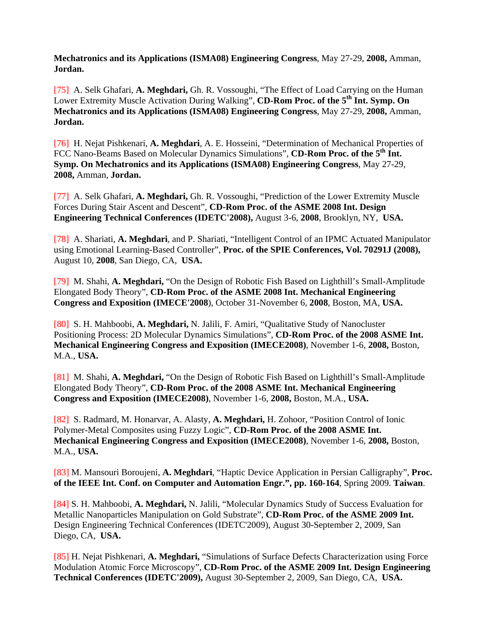**Mechatronics and its Applications (ISMA08) Engineering Congress**, May 27-29, **2008,** Amman, **Jordan.** 

[75]A. Selk Ghafari, **A. Meghdari,** Gh. R. Vossoughi, "The Effect of Load Carrying on the Human Lower Extremity Muscle Activation During Walking", CD-Rom Proc. of the 5<sup>th</sup> Int. Symp. On **Mechatronics and its Applications (ISMA08) Engineering Congress**, May 27-29, **2008,** Amman, **Jordan.** 

[76]H. Nejat Pishkenari, **A. Meghdari**, A. E. Hosseini, "Determination of Mechanical Properties of FCC Nano-Beams Based on Molecular Dynamics Simulations", **CD-Rom Proc. of the 5<sup>th</sup> Int. Symp. On Mechatronics and its Applications (ISMA08) Engineering Congress**, May 27-29, **2008,** Amman, **Jordan.** 

[77]A. Selk Ghafari, **A. Meghdari,** Gh. R. Vossoughi, "Prediction of the Lower Extremity Muscle Forces During Stair Ascent and Descent", **CD-Rom Proc. of the ASME 2008 Int. Design Engineering Technical Conferences (IDETC'2008),** August 3-6, **2008**, Brooklyn, NY, **USA.** 

[78]A. Shariati, **A. Meghdari**, and P. Shariati, "Intelligent Control of an IPMC Actuated Manipulator using Emotional Learning-Based Controller", **Proc. of the SPIE Conferences, Vol. 70291J (2008),**  August 10, **2008**, San Diego, CA, **USA.** 

[79]M. Shahi, **A. Meghdari,** "On the Design of Robotic Fish Based on Lighthill's Small-Amplitude Elongated Body Theory", **CD-Rom Proc. of the ASME 2008 Int. Mechanical Engineering Congress and Exposition (IMECE'2008**), October 31-November 6, **2008**, Boston, MA, **USA.** 

[80]S. H. Mahboobi, **A. Meghdari,** N. Jalili, F. Amiri, "Qualitative Study of Nanocluster Positioning Process: 2D Molecular Dynamics Simulations", **CD-Rom Proc. of the 2008 ASME Int. Mechanical Engineering Congress and Exposition (IMECE2008)**, November 1-6, **2008,** Boston, M.A., **USA.** 

[81] M. Shahi, **A. Meghdari,** "On the Design of Robotic Fish Based on Lighthill's Small-Amplitude Elongated Body Theory", **CD-Rom Proc. of the 2008 ASME Int. Mechanical Engineering Congress and Exposition (IMECE2008)**, November 1-6, **2008,** Boston, M.A., **USA.** 

[82]S. Radmard, M. Honarvar, A. Alasty, **A. Meghdari,** H. Zohoor, "Position Control of Ionic Polymer-Metal Composites using Fuzzy Logic", **CD-Rom Proc. of the 2008 ASME Int. Mechanical Engineering Congress and Exposition (IMECE2008)**, November 1-6, **2008,** Boston, M.A., **USA.**

[83] M. Mansouri Boroujeni, **A. Meghdari**, "Haptic Device Application in Persian Calligraphy", **Proc.**  of the IEEE Int. Conf. on Computer and Automation Engr.", pp. 160-164, Spring 2009. Taiwan.

[84] S. H. Mahboobi, **A. Meghdari,** N. Jalili, "Molecular Dynamics Study of Success Evaluation for Metallic Nanoparticles Manipulation on Gold Substrate", **CD-Rom Proc. of the ASME 2009 Int.**  Design Engineering Technical Conferences (IDETC'2009), August 30-September 2, 2009, San Diego, CA, **USA.** 

[85] H. Nejat Pishkenari, **A. Meghdari,** "Simulations of Surface Defects Characterization using Force Modulation Atomic Force Microscopy", **CD-Rom Proc. of the ASME 2009 Int. Design Engineering Technical Conferences (IDETC'2009),** August 30-September 2, 2009, San Diego, CA, **USA.**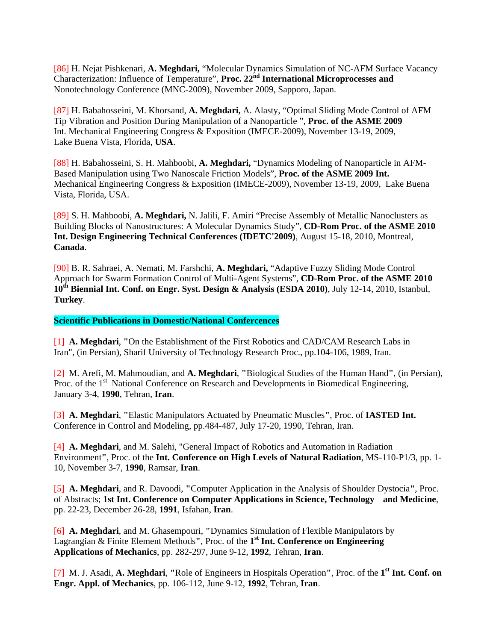[86] H. Nejat Pishkenari, **A. Meghdari,** "Molecular Dynamics Simulation of NC-AFM Surface Vacancy Characterization: Influence of Temperature", **Proc. 22nd International Microprocesses and**  Nonotechnology Conference (MNC-2009), November 2009, Sapporo, Japan.

[87] H. Babahosseini, M. Khorsand, **A. Meghdari,** A. Alasty, "Optimal Sliding Mode Control of AFM Tip Vibration and Position During Manipulation of a Nanoparticle ", **Proc. of the ASME 2009**  Int. Mechanical Engineering Congress & Exposition (IMECE-2009), November 13-19, 2009, Lake Buena Vista, Florida, **USA**.

[88] H. Babahosseini, S. H. Mahboobi, **A. Meghdari,** "Dynamics Modeling of Nanoparticle in AFM-Based Manipulation using Two Nanoscale Friction Models", **Proc. of the ASME 2009 Int.**  Mechanical Engineering Congress & Exposition (IMECE-2009), November 13-19, 2009, Lake Buena Vista, Florida, USA.

[89] S. H. Mahboobi, **A. Meghdari,** N. Jalili, F. Amiri "Precise Assembly of Metallic Nanoclusters as Building Blocks of Nanostructures: A Molecular Dynamics Study", **CD-Rom Proc. of the ASME 2010 Int. Design Engineering Technical Conferences (IDETC'2009)**, August 15-18, 2010, Montreal, **Canada**.

[90] B. R. Sahraei, A. Nemati, M. Farshchi, **A. Meghdari,** "Adaptive Fuzzy Sliding Mode Control Approach for Swarm Formation Control of Multi-Agent Systems", **CD-Rom Proc. of the ASME 2010 10th Biennial Int. Conf. on Engr. Syst. Design & Analysis (ESDA 2010)**, July 12-14, 2010, Istanbul, **Turkey**.

**Scientific Publications in Domestic/National Confercences**

[1] **A. Meghdari**, **"**On the Establishment of the First Robotics and CAD/CAM Research Labs in Iran", (in Persian), Sharif University of Technology Research Proc., pp.104-106, 1989, Iran.

[2] M. Arefi, M. Mahmoudian, and **A. Meghdari**, **"**Biological Studies of the Human Hand**"**, (in Persian), Proc. of the 1<sup>st</sup> National Conference on Research and Developments in Biomedical Engineering, January 3-4, **1990**, Tehran, **Iran**.

[3] **A. Meghdari**, **"**Elastic Manipulators Actuated by Pneumatic Muscles**"**, Proc. of **IASTED Int.** Conference in Control and Modeling, pp.484-487, July 17-20, 1990, Tehran, Iran.

[4] **A. Meghdari**, and M. Salehi, "General Impact of Robotics and Automation in Radiation Environment**"**, Proc. of the **Int. Conference on High Levels of Natural Radiation**, MS-110-P1/3, pp. 1- 10, November 3-7, **1990**, Ramsar, **Iran**.

[5] **A. Meghdari**, and R. Davoodi, **"**Computer Application in the Analysis of Shoulder Dystocia**"**, Proc. of Abstracts; **1st Int. Conference on Computer Applications in Science, Technology and Medicine**, pp. 22-23, December 26-28, **1991**, Isfahan, **Iran**.

[6] **A. Meghdari**, and M. Ghasempouri, **"**Dynamics Simulation of Flexible Manipulators by Lagrangian & Finite Element Methods**"**, Proc. of the **1st Int. Conference on Engineering Applications of Mechanics**, pp. 282-297, June 9-12, **1992**, Tehran, **Iran**.

[7] M. J. Asadi, **A. Meghdari**, **"**Role of Engineers in Hospitals Operation**"**, Proc. of the **1st Int. Conf. on Engr. Appl. of Mechanics**, pp. 106-112, June 9-12, **1992**, Tehran, **Iran**.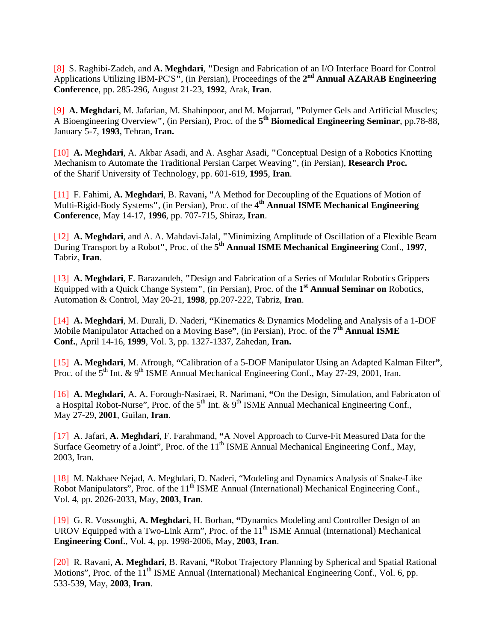[8] S. Raghibi-Zadeh, and **A. Meghdari**, **"**Design and Fabrication of an I/O Interface Board for Control Applications Utilizing IBM-PC'S**"**, (in Persian), Proceedings of the **2nd Annual AZARAB Engineering Conference**, pp. 285-296, August 21-23, **1992**, Arak, **Iran**.

[9] **A. Meghdari**, M. Jafarian, M. Shahinpoor, and M. Mojarrad, **"**Polymer Gels and Artificial Muscles; A Bioengineering Overview**"**, (in Persian), Proc. of the **5th Biomedical Engineering Seminar**, pp.78-88, January 5-7, **1993**, Tehran, **Iran.** 

[10] **A. Meghdari**, A. Akbar Asadi, and A. Asghar Asadi, **"**Conceptual Design of a Robotics Knotting Mechanism to Automate the Traditional Persian Carpet Weaving**"**, (in Persian), **Research Proc.**  of the Sharif University of Technology, pp. 601-619, **1995**, **Iran**.

[11] F. Fahimi, **A. Meghdari**, B. Ravani**, "**A Method for Decoupling of the Equations of Motion of Multi-Rigid-Body Systems**"**, (in Persian), Proc. of the **4th Annual ISME Mechanical Engineering Conference**, May 14-17, **1996**, pp. 707-715, Shiraz, **Iran**.

[12] **A. Meghdari**, and A. A. Mahdavi-Jalal, **"**Minimizing Amplitude of Oscillation of a Flexible Beam During Transport by a Robot**"**, Proc. of the **5th Annual ISME Mechanical Engineering** Conf., **1997**, Tabriz, **Iran**.

[13] **A. Meghdari**, F. Barazandeh, **"**Design and Fabrication of a Series of Modular Robotics Grippers Equipped with a Quick Change System**"**, (in Persian), Proc. of the **1st Annual Seminar on** Robotics, Automation & Control, May 20-21, **1998**, pp.207-222, Tabriz, **Iran**.

[14] **A. Meghdari**, M. Durali, D. Naderi, **"**Kinematics & Dynamics Modeling and Analysis of a 1-DOF Mobile Manipulator Attached on a Moving Base**"**, (in Persian), Proc. of the **7th Annual ISME Conf.**, April 14-16, **1999**, Vol. 3, pp. 1327-1337, Zahedan, **Iran.**

[15] **A. Meghdari**, M. Afrough, **"**Calibration of a 5-DOF Manipulator Using an Adapted Kalman Filter**"**, Proc. of the  $5<sup>th</sup>$  Int. & 9<sup>th</sup> ISME Annual Mechanical Engineering Conf., May 27-29, 2001, Iran.

[16] **A. Meghdari**, A. A. Forough-Nasiraei, R. Narimani, **"**On the Design, Simulation, and Fabricaton of a Hospital Robot-Nurse", Proc. of the  $5<sup>th</sup>$  Int.  $\&$  9<sup>th</sup> ISME Annual Mechanical Engineering Conf., May 27-29, **2001**, Guilan, **Iran**.

[17] A. Jafari, **A. Meghdari**, F. Farahmand, **"**A Novel Approach to Curve-Fit Measured Data for the Surface Geometry of a Joint", Proc. of the  $11<sup>th</sup>$  ISME Annual Mechanical Engineering Conf., May, 2003, Iran.

[18] M. Nakhaee Nejad, A. Meghdari, D. Naderi, "Modeling and Dynamics Analysis of Snake-Like Robot Manipulators", Proc. of the 11<sup>th</sup> ISME Annual (International) Mechanical Engineering Conf., Vol. 4, pp. 2026-2033, May, **2003**, **Iran**.

[19] G. R. Vossoughi, **A. Meghdari**, H. Borhan, **"**Dynamics Modeling and Controller Design of an UROV Equipped with a Two-Link Arm", Proc. of the  $11<sup>th</sup>$  ISME Annual (International) Mechanical **Engineering Conf.**, Vol. 4, pp. 1998-2006, May, **2003**, **Iran**.

[20] R. Ravani, **A. Meghdari**, B. Ravani, **"**Robot Trajectory Planning by Spherical and Spatial Rational Motions", Proc. of the 11<sup>th</sup> ISME Annual (International) Mechanical Engineering Conf., Vol. 6, pp. 533-539, May, **2003**, **Iran**.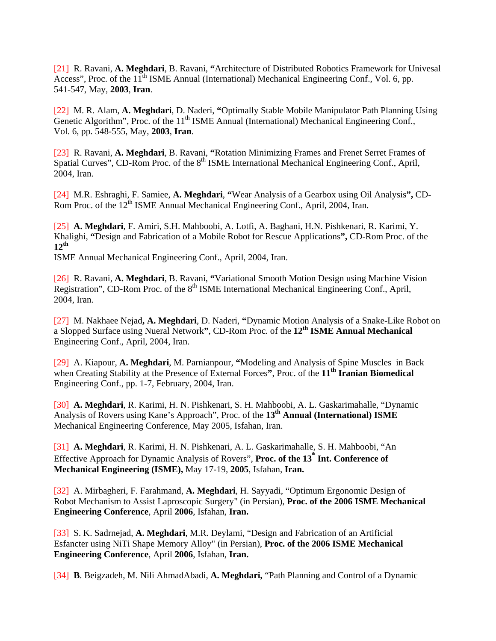[21] R. Ravani, **A. Meghdari**, B. Ravani, **"**Architecture of Distributed Robotics Framework for Univesal Access", Proc. of the 11<sup>th</sup> ISME Annual (International) Mechanical Engineering Conf., Vol. 6, pp. 541-547, May, **2003**, **Iran**.

[22] M. R. Alam, **A. Meghdari**, D. Naderi, **"**Optimally Stable Mobile Manipulator Path Planning Using Genetic Algorithm", Proc. of the 11<sup>th</sup> ISME Annual (International) Mechanical Engineering Conf., Vol. 6, pp. 548-555, May, **2003**, **Iran**.

[23] R. Ravani, **A. Meghdari**, B. Ravani, **"**Rotation Minimizing Frames and Frenet Serret Frames of Spatial Curves", CD-Rom Proc. of the 8<sup>th</sup> ISME International Mechanical Engineering Conf., April, 2004, Iran.

[24] M.R. Eshraghi, F. Samiee, **A. Meghdari**, **"**Wear Analysis of a Gearbox using Oil Analysis**",** CD-Rom Proc. of the 12<sup>th</sup> ISME Annual Mechanical Engineering Conf., April, 2004, Iran.

[25] **A. Meghdari**, F. Amiri, S.H. Mahboobi, A. Lotfi, A. Baghani, H.N. Pishkenari, R. Karimi, Y. Khalighi, **"**Design and Fabrication of a Mobile Robot for Rescue Applications**",** CD-Rom Proc. of the **12th**

ISME Annual Mechanical Engineering Conf., April, 2004, Iran.

[26] R. Ravani, **A. Meghdari**, B. Ravani, **"**Variational Smooth Motion Design using Machine Vision Registration", CD-Rom Proc. of the  $8<sup>th</sup>$  ISME International Mechanical Engineering Conf., April, 2004, Iran.

[27] M. Nakhaee Nejad**, A. Meghdari**, D. Naderi, **"**Dynamic Motion Analysis of a Snake-Like Robot on a Slopped Surface using Nueral Network**"**, CD-Rom Proc. of the **12th ISME Annual Mechanical**  Engineering Conf., April, 2004, Iran.

[29] A. Kiapour, **A. Meghdari**, M. Parnianpour, **"**Modeling and Analysis of Spine Muscles in Back when Creating Stability at the Presence of External Forces", Proc. of the 11<sup>th</sup> Iranian Biomedical Engineering Conf., pp. 1-7, February, 2004, Iran.

[30] **A. Meghdari**, R. Karimi, H. N. Pishkenari, S. H. Mahboobi, A. L. Gaskarimahalle, "Dynamic Analysis of Rovers using Kane's Approach", Proc. of the 13<sup>th</sup> Annual (International) ISME Mechanical Engineering Conference, May 2005, Isfahan, Iran.

[31] **A. Meghdari**, R. Karimi, H. N. Pishkenari, A. L. Gaskarimahalle, S. H. Mahboobi, "An Effective Approach for Dynamic Analysis of Rovers", Proc. of the 13<sup>th</sup> Int. Conference of **Mechanical Engineering (ISME),** May 17-19, **2005**, Isfahan, **Iran.** 

[32] A. Mirbagheri, F. Farahmand, **A. Meghdari**, H. Sayyadi, "Optimum Ergonomic Design of Robot Mechanism to Assist Laproscopic Surgery" (in Persian), **Proc. of the 2006 ISME Mechanical Engineering Conference**, April **2006**, Isfahan, **Iran.** 

[33] S. K. Sadrnejad, **A. Meghdari**, M.R. Deylami, "Design and Fabrication of an Artificial Esfancter using NiTi Shape Memory Alloy" (in Persian), **Proc. of the 2006 ISME Mechanical Engineering Conference**, April **2006**, Isfahan, **Iran.** 

[34] **B**. Beigzadeh, M. Nili AhmadAbadi, **A. Meghdari,** "Path Planning and Control of a Dynamic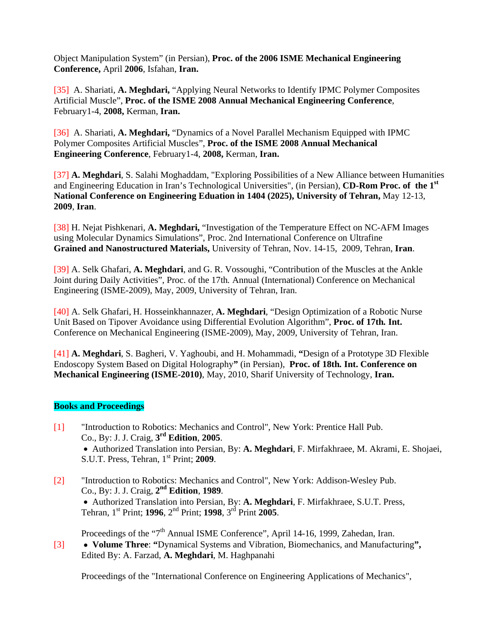Object Manipulation System" (in Persian), **Proc. of the 2006 ISME Mechanical Engineering Conference,** April **2006**, Isfahan, **Iran.** 

[35] A. Shariati, **A. Meghdari,** "Applying Neural Networks to Identify IPMC Polymer Composites Artificial Muscle", **Proc. of the ISME 2008 Annual Mechanical Engineering Conference**, February1-4, **2008,** Kerman, **Iran.** 

[36] A. Shariati, **A. Meghdari,** "Dynamics of a Novel Parallel Mechanism Equipped with IPMC Polymer Composites Artificial Muscles", **Proc. of the ISME 2008 Annual Mechanical Engineering Conference**, February1-4, **2008,** Kerman, **Iran.** 

[37] **A. Meghdari**, S. Salahi Moghaddam, "Exploring Possibilities of a New Alliance between Humanities and Engineering Education in Iran's Technological Universities", (in Persian), **CD-Rom Proc. of the 1st National Conference on Engineering Eduation in 1404 (2025), University of Tehran,** May 12-13, **2009**, **Iran**.

[38] H. Nejat Pishkenari, **A. Meghdari,** "Investigation of the Temperature Effect on NC-AFM Images using Molecular Dynamics Simulations", Proc. 2nd International Conference on Ultrafine **Grained and Nanostructured Materials,** University of Tehran, Nov. 14-15, 2009, Tehran, **Iran**.

[39] A. Selk Ghafari, **A. Meghdari**, and G. R. Vossoughi, "Contribution of the Muscles at the Ankle Joint during Daily Activities", Proc. of the 17th*.* Annual (International) Conference on Mechanical Engineering (ISME-2009), May, 2009, University of Tehran, Iran.

[40] A. Selk Ghafari, H. Hosseinkhannazer, **A. Meghdari**, "Design Optimization of a Robotic Nurse Unit Based on Tipover Avoidance using Differential Evolution Algorithm", **Proc. of 17th***.* **Int.**  Conference on Mechanical Engineering (ISME-2009), May, 2009, University of Tehran, Iran.

[41] **A. Meghdari**, S. Bagheri, V. Yaghoubi, and H. Mohammadi, **"**Design of a Prototype 3D Flexible Endoscopy System Based on Digital Holography**"** (in Persian), **Proc. of 18th***.* **Int. Conference on Mechanical Engineering (ISME-2010)**, May, 2010, Sharif University of Technology, **Iran.**

## **Books and Proceedings**

- [1] "Introduction to Robotics: Mechanics and Control", New York: Prentice Hall Pub. Co., By: J. J. Craig, **3rd Edition**, **2005**. • Authorized Translation into Persian, By: **A. Meghdari**, F. Mirfakhraee, M. Akrami, E. Shojaei, S.U.T. Press, Tehran, 1st Print; **2009**.
- [2] "Introduction to Robotics: Mechanics and Control", New York: Addison-Wesley Pub. Co., By: J. J. Craig, **2nd Edition**, **1989**. • Authorized Translation into Persian, By: **A. Meghdari**, F. Mirfakhraee, S.U.T. Press, Tehran, 1st Print; **1996**, 2nd Print; **1998**, 3rd Print **2005**.

Proceedings of the "7<sup>th</sup> Annual ISME Conference", April 14-16, 1999, Zahedan, Iran. [3] • **Volume Three**: **"**Dynamical Systems and Vibration, Biomechanics, and Manufacturing**",** Edited By: A. Farzad, **A. Meghdari**, M. Haghpanahi

Proceedings of the "International Conference on Engineering Applications of Mechanics",